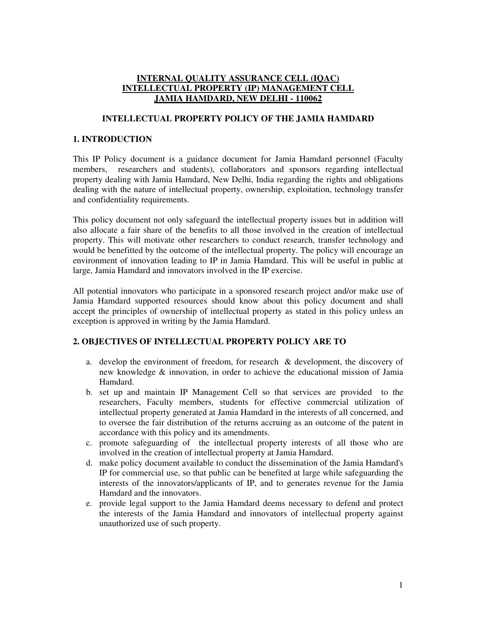## **INTERNAL QUALITY ASSURANCE CELL (IQAC) INTELLECTUAL PROPERTY (IP) MANAGEMENT CELL JAMIA HAMDARD, NEW DELHI - 110062**

### **INTELLECTUAL PROPERTY POLICY OF THE JAMIA HAMDARD**

## **1. INTRODUCTION**

This IP Policy document is a guidance document for Jamia Hamdard personnel (Faculty members, researchers and students), collaborators and sponsors regarding intellectual property dealing with Jamia Hamdard, New Delhi, India regarding the rights and obligations dealing with the nature of intellectual property, ownership, exploitation, technology transfer and confidentiality requirements.

This policy document not only safeguard the intellectual property issues but in addition will also allocate a fair share of the benefits to all those involved in the creation of intellectual property. This will motivate other researchers to conduct research, transfer technology and would be benefitted by the outcome of the intellectual property. The policy will encourage an environment of innovation leading to IP in Jamia Hamdard. This will be useful in public at large, Jamia Hamdard and innovators involved in the IP exercise.

All potential innovators who participate in a sponsored research project and/or make use of Jamia Hamdard supported resources should know about this policy document and shall accept the principles of ownership of intellectual property as stated in this policy unless an exception is approved in writing by the Jamia Hamdard.

#### **2. OBJECTIVES OF INTELLECTUAL PROPERTY POLICY ARE TO**

- a. develop the environment of freedom, for research & development, the discovery of new knowledge & innovation, in order to achieve the educational mission of Jamia Hamdard.
- b. set up and maintain IP Management Cell so that services are provided to the researchers, Faculty members, students for effective commercial utilization of intellectual property generated at Jamia Hamdard in the interests of all concerned, and to oversee the fair distribution of the returns accruing as an outcome of the patent in accordance with this policy and its amendments.
- c. promote safeguarding of the intellectual property interests of all those who are involved in the creation of intellectual property at Jamia Hamdard.
- d. make policy document available to conduct the dissemination of the Jamia Hamdard's IP for commercial use, so that public can be benefited at large while safeguarding the interests of the innovators/applicants of IP, and to generates revenue for the Jamia Hamdard and the innovators.
- e. provide legal support to the Jamia Hamdard deems necessary to defend and protect the interests of the Jamia Hamdard and innovators of intellectual property against unauthorized use of such property.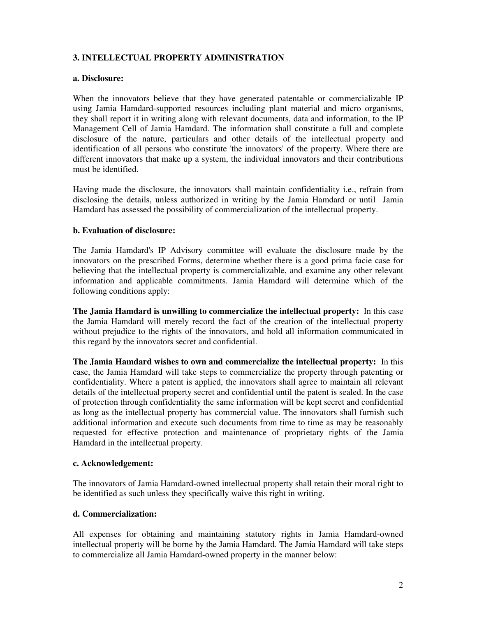# **3. INTELLECTUAL PROPERTY ADMINISTRATION**

#### **a. Disclosure:**

When the innovators believe that they have generated patentable or commercializable IP using Jamia Hamdard-supported resources including plant material and micro organisms, they shall report it in writing along with relevant documents, data and information, to the IP Management Cell of Jamia Hamdard. The information shall constitute a full and complete disclosure of the nature, particulars and other details of the intellectual property and identification of all persons who constitute 'the innovators' of the property. Where there are different innovators that make up a system, the individual innovators and their contributions must be identified.

Having made the disclosure, the innovators shall maintain confidentiality i.e., refrain from disclosing the details, unless authorized in writing by the Jamia Hamdard or until Jamia Hamdard has assessed the possibility of commercialization of the intellectual property.

## **b. Evaluation of disclosure:**

The Jamia Hamdard's IP Advisory committee will evaluate the disclosure made by the innovators on the prescribed Forms, determine whether there is a good prima facie case for believing that the intellectual property is commercializable, and examine any other relevant information and applicable commitments. Jamia Hamdard will determine which of the following conditions apply:

**The Jamia Hamdard is unwilling to commercialize the intellectual property:** In this case the Jamia Hamdard will merely record the fact of the creation of the intellectual property without prejudice to the rights of the innovators, and hold all information communicated in this regard by the innovators secret and confidential.

**The Jamia Hamdard wishes to own and commercialize the intellectual property:** In this case, the Jamia Hamdard will take steps to commercialize the property through patenting or confidentiality. Where a patent is applied, the innovators shall agree to maintain all relevant details of the intellectual property secret and confidential until the patent is sealed. In the case of protection through confidentiality the same information will be kept secret and confidential as long as the intellectual property has commercial value. The innovators shall furnish such additional information and execute such documents from time to time as may be reasonably requested for effective protection and maintenance of proprietary rights of the Jamia Hamdard in the intellectual property.

#### **c. Acknowledgement:**

The innovators of Jamia Hamdard-owned intellectual property shall retain their moral right to be identified as such unless they specifically waive this right in writing.

#### **d. Commercialization:**

All expenses for obtaining and maintaining statutory rights in Jamia Hamdard-owned intellectual property will be borne by the Jamia Hamdard. The Jamia Hamdard will take steps to commercialize all Jamia Hamdard-owned property in the manner below: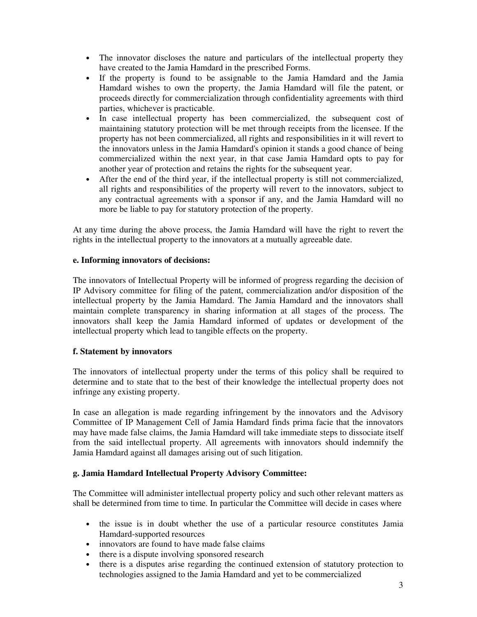- The innovator discloses the nature and particulars of the intellectual property they have created to the Jamia Hamdard in the prescribed Forms.
- If the property is found to be assignable to the Jamia Hamdard and the Jamia Hamdard wishes to own the property, the Jamia Hamdard will file the patent, or proceeds directly for commercialization through confidentiality agreements with third parties, whichever is practicable.
- In case intellectual property has been commercialized, the subsequent cost of maintaining statutory protection will be met through receipts from the licensee. If the property has not been commercialized, all rights and responsibilities in it will revert to the innovators unless in the Jamia Hamdard's opinion it stands a good chance of being commercialized within the next year, in that case Jamia Hamdard opts to pay for another year of protection and retains the rights for the subsequent year.
- After the end of the third year, if the intellectual property is still not commercialized, all rights and responsibilities of the property will revert to the innovators, subject to any contractual agreements with a sponsor if any, and the Jamia Hamdard will no more be liable to pay for statutory protection of the property.

At any time during the above process, the Jamia Hamdard will have the right to revert the rights in the intellectual property to the innovators at a mutually agreeable date.

## **e. Informing innovators of decisions:**

The innovators of Intellectual Property will be informed of progress regarding the decision of IP Advisory committee for filing of the patent, commercialization and/or disposition of the intellectual property by the Jamia Hamdard. The Jamia Hamdard and the innovators shall maintain complete transparency in sharing information at all stages of the process. The innovators shall keep the Jamia Hamdard informed of updates or development of the intellectual property which lead to tangible effects on the property.

## **f. Statement by innovators**

The innovators of intellectual property under the terms of this policy shall be required to determine and to state that to the best of their knowledge the intellectual property does not infringe any existing property.

In case an allegation is made regarding infringement by the innovators and the Advisory Committee of IP Management Cell of Jamia Hamdard finds prima facie that the innovators may have made false claims, the Jamia Hamdard will take immediate steps to dissociate itself from the said intellectual property. All agreements with innovators should indemnify the Jamia Hamdard against all damages arising out of such litigation.

## **g. Jamia Hamdard Intellectual Property Advisory Committee:**

The Committee will administer intellectual property policy and such other relevant matters as shall be determined from time to time. In particular the Committee will decide in cases where

- the issue is in doubt whether the use of a particular resource constitutes Jamia Hamdard-supported resources
- innovators are found to have made false claims
- there is a dispute involving sponsored research
- there is a disputes arise regarding the continued extension of statutory protection to technologies assigned to the Jamia Hamdard and yet to be commercialized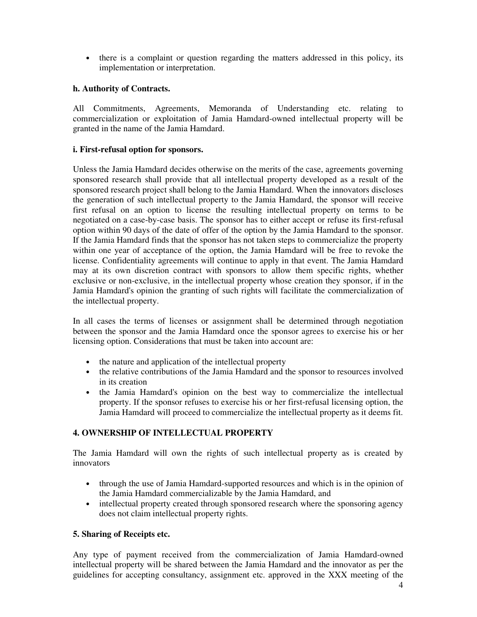• there is a complaint or question regarding the matters addressed in this policy, its implementation or interpretation.

## **h. Authority of Contracts.**

All Commitments, Agreements, Memoranda of Understanding etc. relating to commercialization or exploitation of Jamia Hamdard-owned intellectual property will be granted in the name of the Jamia Hamdard.

## **i. First-refusal option for sponsors.**

Unless the Jamia Hamdard decides otherwise on the merits of the case, agreements governing sponsored research shall provide that all intellectual property developed as a result of the sponsored research project shall belong to the Jamia Hamdard. When the innovators discloses the generation of such intellectual property to the Jamia Hamdard, the sponsor will receive first refusal on an option to license the resulting intellectual property on terms to be negotiated on a case-by-case basis. The sponsor has to either accept or refuse its first-refusal option within 90 days of the date of offer of the option by the Jamia Hamdard to the sponsor. If the Jamia Hamdard finds that the sponsor has not taken steps to commercialize the property within one year of acceptance of the option, the Jamia Hamdard will be free to revoke the license. Confidentiality agreements will continue to apply in that event. The Jamia Hamdard may at its own discretion contract with sponsors to allow them specific rights, whether exclusive or non-exclusive, in the intellectual property whose creation they sponsor, if in the Jamia Hamdard's opinion the granting of such rights will facilitate the commercialization of the intellectual property.

In all cases the terms of licenses or assignment shall be determined through negotiation between the sponsor and the Jamia Hamdard once the sponsor agrees to exercise his or her licensing option. Considerations that must be taken into account are:

- the nature and application of the intellectual property
- the relative contributions of the Jamia Hamdard and the sponsor to resources involved in its creation
- the Jamia Hamdard's opinion on the best way to commercialize the intellectual property. If the sponsor refuses to exercise his or her first-refusal licensing option, the Jamia Hamdard will proceed to commercialize the intellectual property as it deems fit.

## **4. OWNERSHIP OF INTELLECTUAL PROPERTY**

The Jamia Hamdard will own the rights of such intellectual property as is created by innovators

- through the use of Jamia Hamdard-supported resources and which is in the opinion of the Jamia Hamdard commercializable by the Jamia Hamdard, and
- intellectual property created through sponsored research where the sponsoring agency does not claim intellectual property rights.

#### **5. Sharing of Receipts etc.**

Any type of payment received from the commercialization of Jamia Hamdard-owned intellectual property will be shared between the Jamia Hamdard and the innovator as per the guidelines for accepting consultancy, assignment etc. approved in the XXX meeting of the